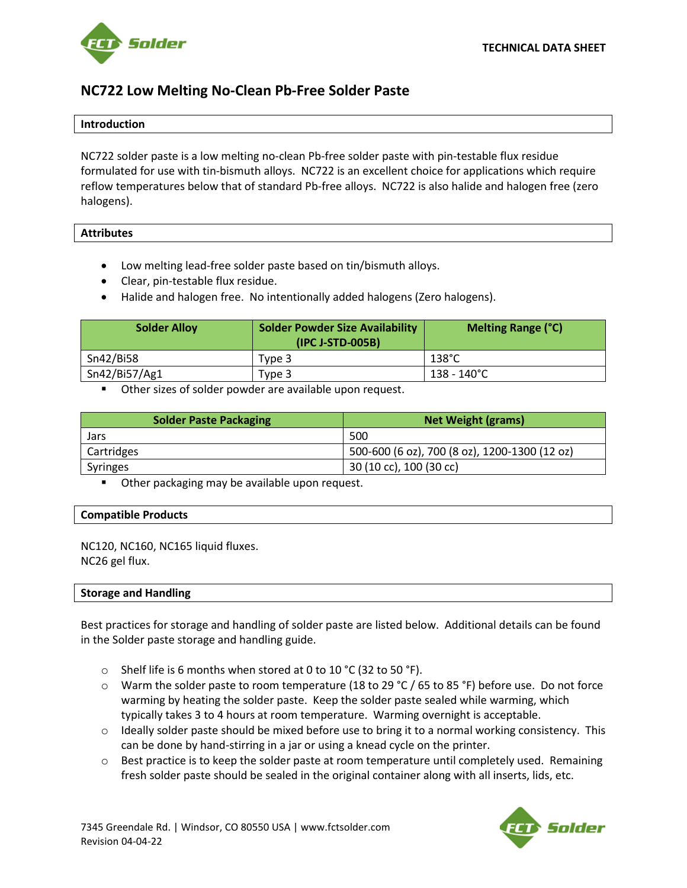

# **NC722 Low Melting No-Clean Pb-Free Solder Paste**

#### **Introduction**

NC722 solder paste is a low melting no-clean Pb-free solder paste with pin-testable flux residue formulated for use with tin-bismuth alloys. NC722 is an excellent choice for applications which require reflow temperatures below that of standard Pb-free alloys. NC722 is also halide and halogen free (zero halogens).

### **Attributes**

- Low melting lead-free solder paste based on tin/bismuth alloys.
- Clear, pin-testable flux residue.
- Halide and halogen free. No intentionally added halogens (Zero halogens).

| <b>Solder Alloy</b> | <b>Solder Powder Size Availability</b><br>(IPC J-STD-005B) | <b>Melting Range (°C)</b> |
|---------------------|------------------------------------------------------------|---------------------------|
| Sn42/Bi58           | Type 3                                                     | 138°C                     |
| Sn42/Bi57/Ag1       | Type 3                                                     | 138 - 140°C               |

■ Other sizes of solder powder are available upon request.

| <b>Solder Paste Packaging</b> | <b>Net Weight (grams)</b>                     |
|-------------------------------|-----------------------------------------------|
| Jars                          | 500                                           |
| Cartridges                    | 500-600 (6 oz), 700 (8 oz), 1200-1300 (12 oz) |
| Syringes                      | 30 (10 cc), 100 (30 cc)                       |

Other packaging may be available upon request.

#### **Compatible Products**

NC120, NC160, NC165 liquid fluxes. NC26 gel flux.

#### **Storage and Handling**

Best practices for storage and handling of solder paste are listed below. Additional details can be found in the Solder paste storage and handling guide.

- $\circ$  Shelf life is 6 months when stored at 0 to 10 °C (32 to 50 °F).
- $\circ$  Warm the solder paste to room temperature (18 to 29 °C / 65 to 85 °F) before use. Do not force warming by heating the solder paste. Keep the solder paste sealed while warming, which typically takes 3 to 4 hours at room temperature. Warming overnight is acceptable.
- $\circ$  Ideally solder paste should be mixed before use to bring it to a normal working consistency. This can be done by hand-stirring in a jar or using a knead cycle on the printer.
- $\circ$  Best practice is to keep the solder paste at room temperature until completely used. Remaining fresh solder paste should be sealed in the original container along with all inserts, lids, etc.

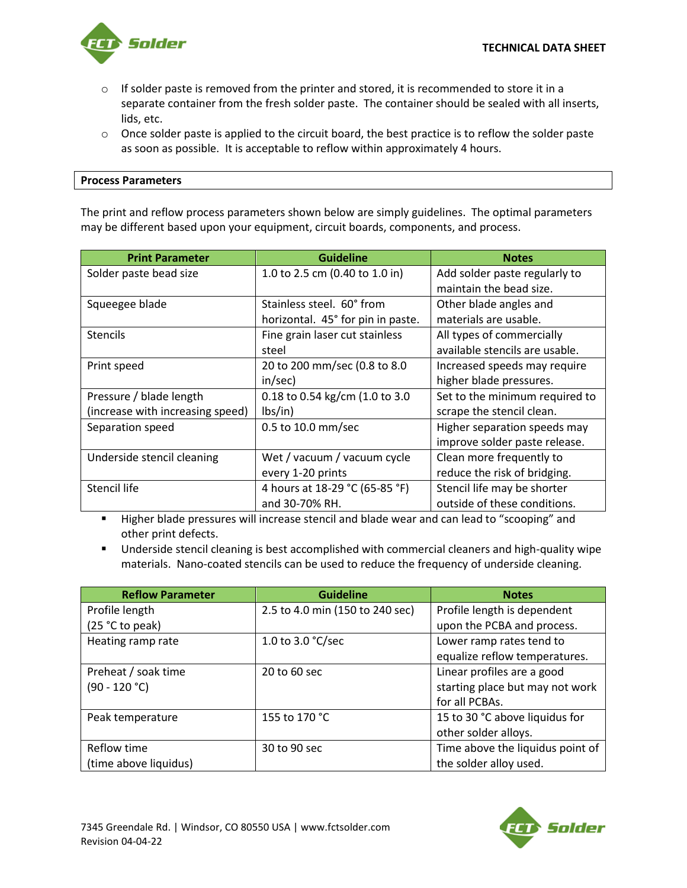

- $\circ$  If solder paste is removed from the printer and stored, it is recommended to store it in a separate container from the fresh solder paste. The container should be sealed with all inserts, lids, etc.
- $\circ$  Once solder paste is applied to the circuit board, the best practice is to reflow the solder paste as soon as possible. It is acceptable to reflow within approximately 4 hours.

The print and reflow process parameters shown below are simply guidelines. The optimal parameters may be different based upon your equipment, circuit boards, components, and process.

| <b>Print Parameter</b>           | <b>Guideline</b>                  | <b>Notes</b>                   |
|----------------------------------|-----------------------------------|--------------------------------|
| Solder paste bead size           | 1.0 to 2.5 cm (0.40 to 1.0 in)    | Add solder paste regularly to  |
|                                  |                                   | maintain the bead size.        |
| Squeegee blade                   | Stainless steel. 60° from         | Other blade angles and         |
|                                  | horizontal. 45° for pin in paste. | materials are usable.          |
| <b>Stencils</b>                  | Fine grain laser cut stainless    | All types of commercially      |
|                                  | steel                             | available stencils are usable. |
| Print speed                      | 20 to 200 mm/sec (0.8 to 8.0      | Increased speeds may require   |
|                                  | in/sec)                           | higher blade pressures.        |
| Pressure / blade length          | 0.18 to 0.54 kg/cm (1.0 to 3.0    | Set to the minimum required to |
| (increase with increasing speed) | $\frac{1}{5}$                     | scrape the stencil clean.      |
| Separation speed                 | 0.5 to 10.0 mm/sec                | Higher separation speeds may   |
|                                  |                                   | improve solder paste release.  |
| Underside stencil cleaning       | Wet / vacuum / vacuum cycle       | Clean more frequently to       |
|                                  | every 1-20 prints                 | reduce the risk of bridging.   |
| Stencil life                     | 4 hours at 18-29 °C (65-85 °F)    | Stencil life may be shorter    |
|                                  | and 30-70% RH.                    | outside of these conditions.   |

▪ Higher blade pressures will increase stencil and blade wear and can lead to "scooping" and other print defects.

■ Underside stencil cleaning is best accomplished with commercial cleaners and high-quality wipe materials. Nano-coated stencils can be used to reduce the frequency of underside cleaning.

| <b>Reflow Parameter</b> | <b>Guideline</b>                | <b>Notes</b>                     |
|-------------------------|---------------------------------|----------------------------------|
| Profile length          | 2.5 to 4.0 min (150 to 240 sec) | Profile length is dependent      |
| (25 °C to peak)         |                                 | upon the PCBA and process.       |
| Heating ramp rate       | 1.0 to 3.0 °C/sec               | Lower ramp rates tend to         |
|                         |                                 | equalize reflow temperatures.    |
| Preheat / soak time     | 20 to 60 sec                    | Linear profiles are a good       |
| $(90 - 120 °C)$         |                                 | starting place but may not work  |
|                         |                                 | for all PCBAs.                   |
| Peak temperature        | 155 to 170 °C                   | 15 to 30 °C above liquidus for   |
|                         |                                 | other solder alloys.             |
| Reflow time             | 30 to 90 sec                    | Time above the liquidus point of |
| (time above liquidus)   |                                 | the solder alloy used.           |

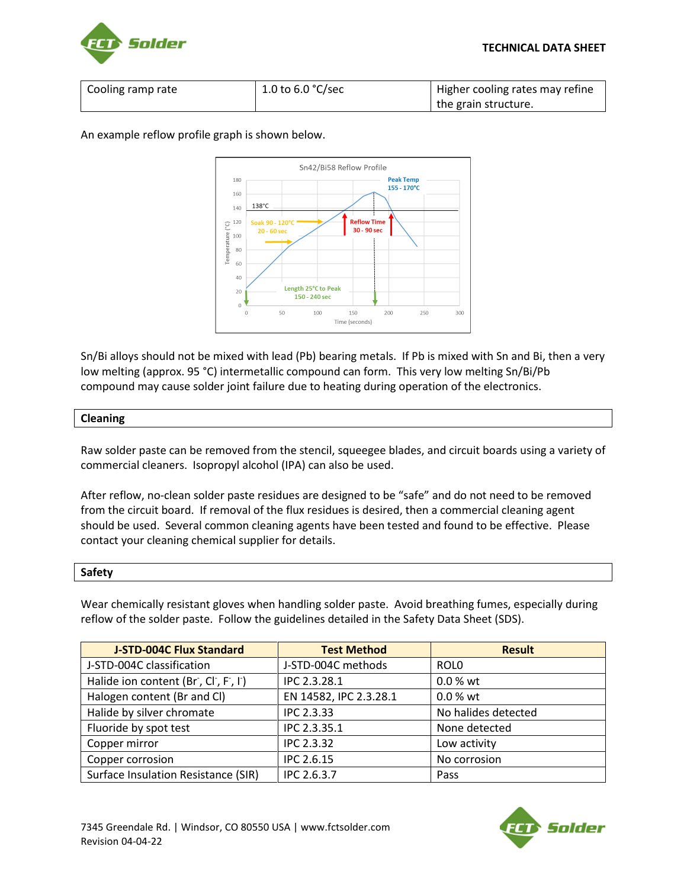



| Cooling ramp rate | 1.0 to 6.0 $\degree$ C/sec | Higher cooling rates may refine |
|-------------------|----------------------------|---------------------------------|
|                   |                            | the grain structure.            |

An example reflow profile graph is shown below.



Sn/Bi alloys should not be mixed with lead (Pb) bearing metals. If Pb is mixed with Sn and Bi, then a very low melting (approx. 95 °C) intermetallic compound can form. This very low melting Sn/Bi/Pb compound may cause solder joint failure due to heating during operation of the electronics.

## **Cleaning**

Raw solder paste can be removed from the stencil, squeegee blades, and circuit boards using a variety of commercial cleaners. Isopropyl alcohol (IPA) can also be used.

After reflow, no-clean solder paste residues are designed to be "safe" and do not need to be removed from the circuit board. If removal of the flux residues is desired, then a commercial cleaning agent should be used. Several common cleaning agents have been tested and found to be effective. Please contact your cleaning chemical supplier for details.

## **Safety**

Wear chemically resistant gloves when handling solder paste. Avoid breathing fumes, especially during reflow of the solder paste. Follow the guidelines detailed in the Safety Data Sheet (SDS).

| <b>J-STD-004C Flux Standard</b>     | <b>Test Method</b>     | <b>Result</b>       |
|-------------------------------------|------------------------|---------------------|
| J-STD-004C classification           | J-STD-004C methods     | ROL <sub>0</sub>    |
| Halide ion content (Br, Cl, F, I)   | IPC 2.3.28.1           | 0.0 % wt            |
| Halogen content (Br and Cl)         | EN 14582, IPC 2.3.28.1 | 0.0 % wt            |
| Halide by silver chromate           | <b>IPC 2.3.33</b>      | No halides detected |
| Fluoride by spot test               | IPC 2.3.35.1           | None detected       |
| Copper mirror                       | <b>IPC 2.3.32</b>      | Low activity        |
| Copper corrosion                    | IPC 2.6.15             | No corrosion        |
| Surface Insulation Resistance (SIR) | IPC 2.6.3.7            | Pass                |